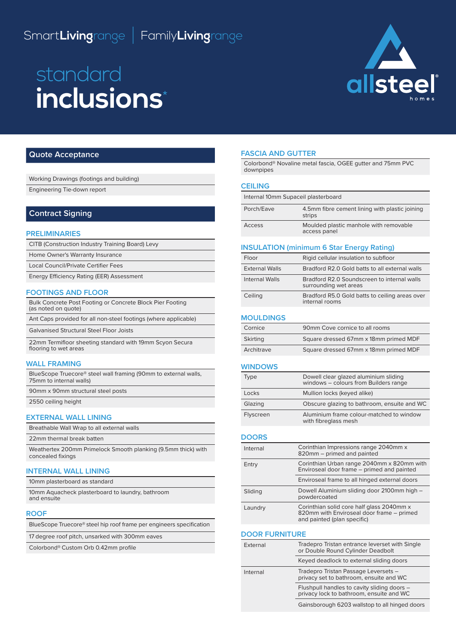# Smart**Living**range I Family**Living**range

# standard **inclusions**\*



# **Quote Acceptance**

| Working Drawings (footings and building)                                                   |
|--------------------------------------------------------------------------------------------|
| Engineering Tie-down report                                                                |
|                                                                                            |
| <b>Contract Signing</b>                                                                    |
|                                                                                            |
| <b>PRELIMINARIES</b>                                                                       |
| CITB (Construction Industry Training Board) Levy                                           |
| Home Owner's Warranty Insurance                                                            |
| <b>Local Council/Private Certifier Fees</b>                                                |
| Energy Efficiency Rating (EER) Assessment                                                  |
| <b>FOOTINGS AND FLOOR</b>                                                                  |
| Bulk Concrete Post Footing or Concrete Block Pier Footing<br>(as noted on quote)           |
| Ant Caps provided for all non-steel footings (where applicable)                            |
| <b>Galvanised Structural Steel Floor Joists</b>                                            |
| 22mm Termifloor sheeting standard with 19mm Scyon Secura<br>flooring to wet areas          |
| <b>WALL FRAMING</b>                                                                        |
| BlueScope Truecore® steel wall framing (90mm to external walls,<br>75mm to internal walls) |
| 90mm x 90mm structural steel posts                                                         |
| 2550 ceiling height                                                                        |
| <b>EXTERNAL WALL LINING</b>                                                                |
| Breathable Wall Wrap to all external walls                                                 |
| 22mm thermal break batten                                                                  |
|                                                                                            |

Weathertex 200mm Primelock Smooth planking (9.5mm thick) with concealed fixings

# **INTERNAL WALL LINING**

10mm plasterboard as standard

10mm Aquacheck plasterboard to laundry, bathroom and ensuite

#### **ROOF**

BlueScope Truecore® steel hip roof frame per engineers specification

17 degree roof pitch, unsarked with 300mm eaves

Colorbond® Custom Orb 0.42mm profile

#### **FASCIA AND GUTTER**

Colorbond® Novaline metal fascia, OGEE gutter and 75mm PVC downpipes

#### **CEILING**

| Internal 10mm Supaceil plasterboard |                                                          |
|-------------------------------------|----------------------------------------------------------|
| Porch/Eave                          | 4.5mm fibre cement lining with plastic joining<br>strips |
| Access                              | Moulded plastic manhole with removable<br>access panel   |
|                                     |                                                          |

# **INSULATION (minimum 6 Star Energy Rating)**

| Floor                 | Rigid cellular insulation to subfloor                                |
|-----------------------|----------------------------------------------------------------------|
| <b>External Walls</b> | Bradford R2.0 Gold batts to all external walls                       |
| Internal Walls        | Bradford R2.0 Soundscreen to internal walls<br>surrounding wet areas |
| Ceiling               | Bradford R5.0 Gold batts to ceiling areas over<br>internal rooms     |

## **MOULDINGS**

| Cornice    | 90mm Cove cornice to all rooms        |
|------------|---------------------------------------|
| Skirting   | Square dressed 67mm x 18mm primed MDF |
| Architrave | Square dressed 67mm x 18mm primed MDF |

#### **WINDOWS**

| Type      | Dowell clear glazed aluminium sliding<br>windows - colours from Builders range |
|-----------|--------------------------------------------------------------------------------|
| Locks     | Mullion locks (keyed alike)                                                    |
| Glazing   | Obscure glazing to bathroom, ensuite and WC                                    |
| Flyscreen | Aluminium frame colour-matched to window<br>with fibreglass mesh               |

#### **DOORS**

| Internal | Corinthian Impressions range 2040mm x<br>820mm - primed and painted                                                   |
|----------|-----------------------------------------------------------------------------------------------------------------------|
| Entry    | Corinthian Urban range 2040mm x 820mm with<br>Enviroseal door frame - primed and painted                              |
|          | Enviroseal frame to all hinged external doors                                                                         |
| Sliding  | Dowell Aluminium sliding door 2100mm high -<br>powdercoated                                                           |
| Laundry  | Corinthian solid core half glass 2040mm x<br>820mm with Enviroseal door frame - primed<br>and painted (plan specific) |

#### **DOOR FURNITURE**

| External | Tradepro Tristan entrance leverset with Single<br>or Double Round Cylinder Deadbolt     |
|----------|-----------------------------------------------------------------------------------------|
|          | Keyed deadlock to external sliding doors                                                |
| Internal | Tradepro Tristan Passage Leversets -<br>privacy set to bathroom, ensuite and WC         |
|          | Flushpull handles to cavity sliding doors -<br>privacy lock to bathroom, ensuite and WC |
|          | Gainsborough 6203 wallstop to all hinged doors                                          |